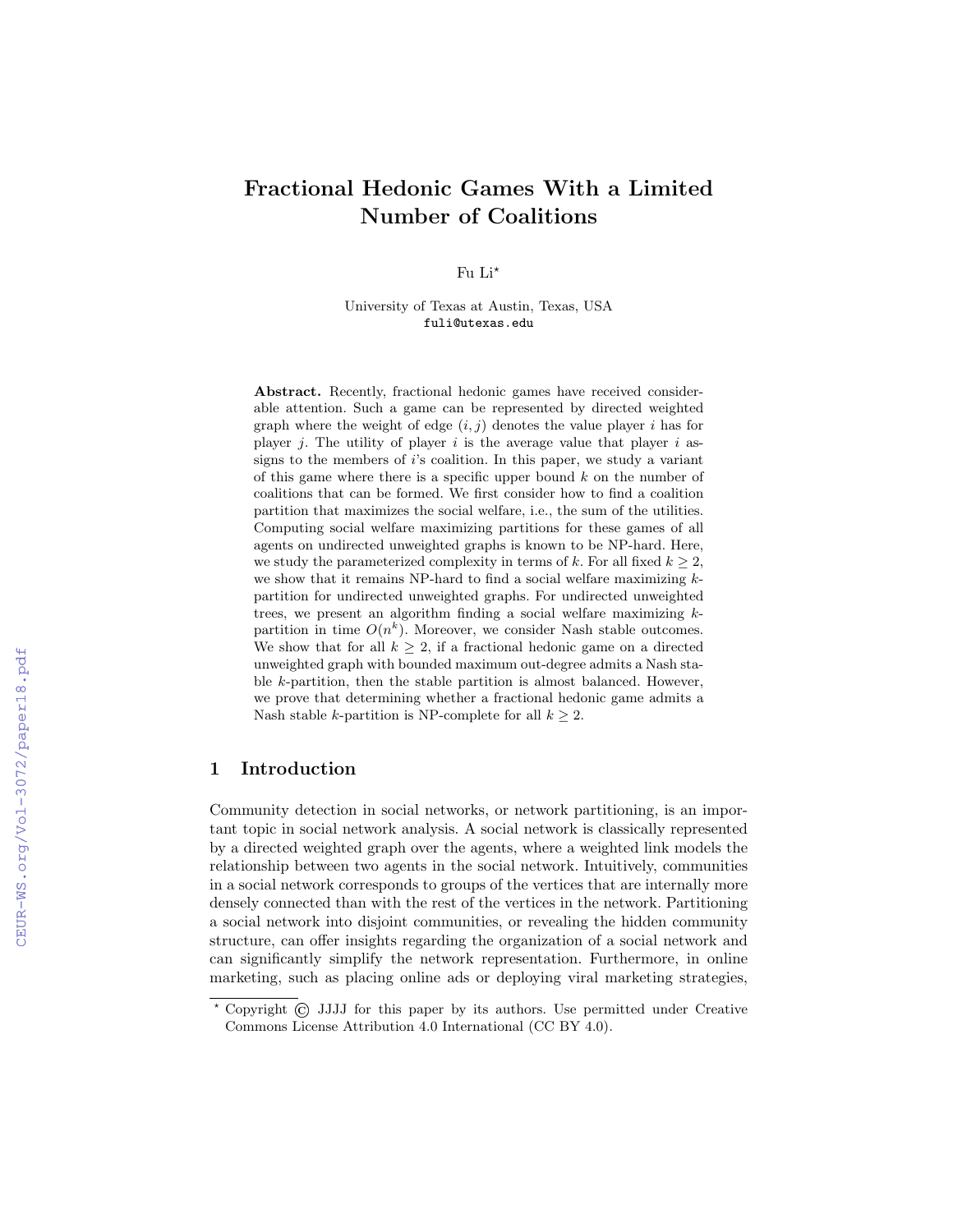# Fractional Hedonic Games With a Limited Number of Coalitions

Fu  $Li^*$ 

University of Texas at Austin, Texas, USA fuli@utexas.edu

Abstract. Recently, fractional hedonic games have received considerable attention. Such a game can be represented by directed weighted graph where the weight of edge  $(i, j)$  denotes the value player i has for player j. The utility of player i is the average value that player i assigns to the members of  $i$ 's coalition. In this paper, we study a variant of this game where there is a specific upper bound  $k$  on the number of coalitions that can be formed. We first consider how to find a coalition partition that maximizes the social welfare, i.e., the sum of the utilities. Computing social welfare maximizing partitions for these games of all agents on undirected unweighted graphs is known to be NP-hard. Here, we study the parameterized complexity in terms of k. For all fixed  $k \geq 2$ , we show that it remains NP-hard to find a social welfare maximizing  $k$ partition for undirected unweighted graphs. For undirected unweighted trees, we present an algorithm finding a social welfare maximizing  $k$ partition in time  $O(n^k)$ . Moreover, we consider Nash stable outcomes. We show that for all  $k \geq 2$ , if a fractional hedonic game on a directed unweighted graph with bounded maximum out-degree admits a Nash stable k-partition, then the stable partition is almost balanced. However, we prove that determining whether a fractional hedonic game admits a Nash stable k-partition is NP-complete for all  $k > 2$ .

# 1 Introduction

Community detection in social networks, or network partitioning, is an important topic in social network analysis. A social network is classically represented by a directed weighted graph over the agents, where a weighted link models the relationship between two agents in the social network. Intuitively, communities in a social network corresponds to groups of the vertices that are internally more densely connected than with the rest of the vertices in the network. Partitioning a social network into disjoint communities, or revealing the hidden community structure, can offer insights regarding the organization of a social network and can significantly simplify the network representation. Furthermore, in online marketing, such as placing online ads or deploying viral marketing strategies,

<sup>?</sup> Copyright © JJJJ for this paper by its authors. Use permitted under Creative Commons License Attribution 4.0 International (CC BY 4.0).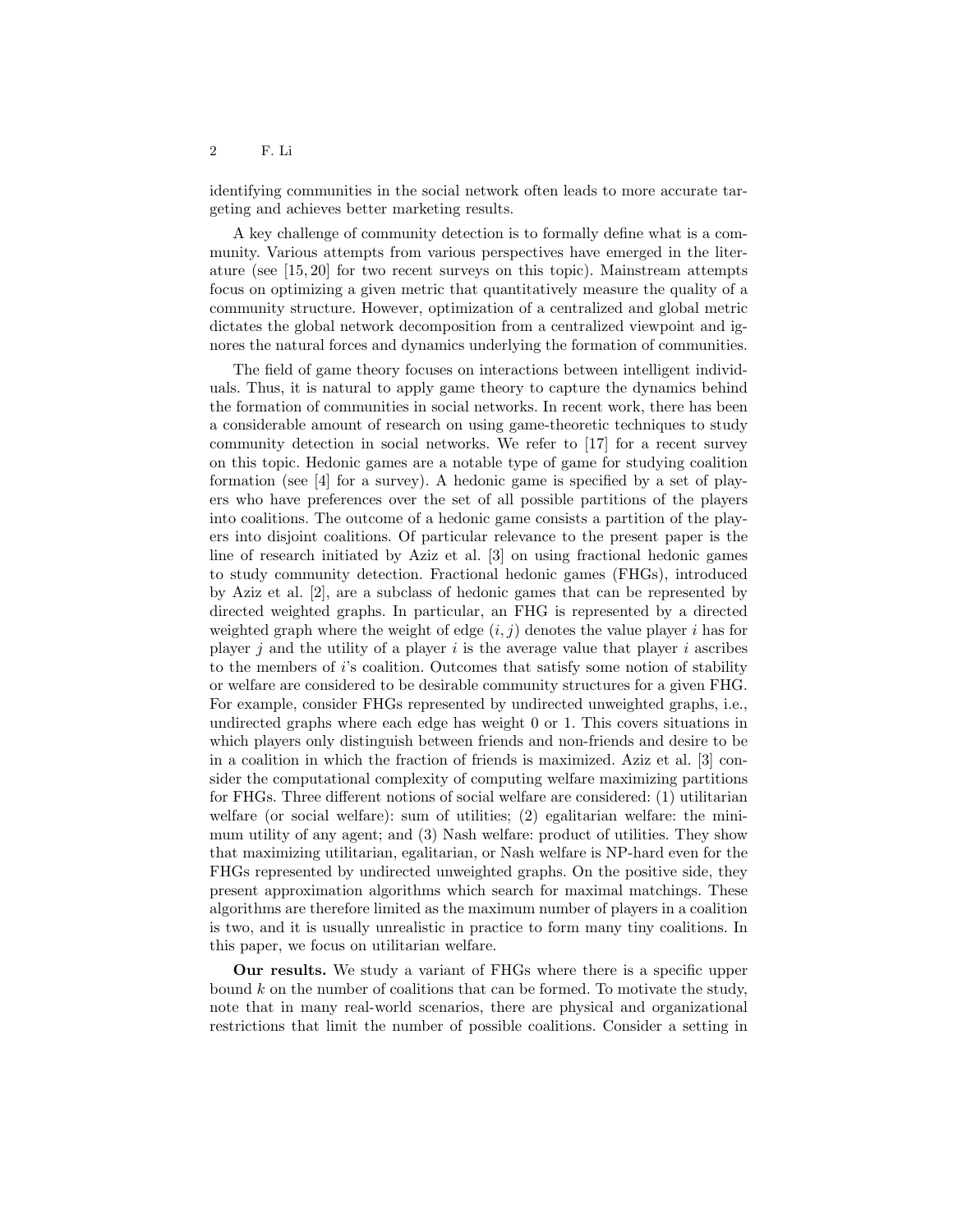identifying communities in the social network often leads to more accurate targeting and achieves better marketing results.

A key challenge of community detection is to formally define what is a community. Various attempts from various perspectives have emerged in the literature (see [15, 20] for two recent surveys on this topic). Mainstream attempts focus on optimizing a given metric that quantitatively measure the quality of a community structure. However, optimization of a centralized and global metric dictates the global network decomposition from a centralized viewpoint and ignores the natural forces and dynamics underlying the formation of communities.

The field of game theory focuses on interactions between intelligent individuals. Thus, it is natural to apply game theory to capture the dynamics behind the formation of communities in social networks. In recent work, there has been a considerable amount of research on using game-theoretic techniques to study community detection in social networks. We refer to [17] for a recent survey on this topic. Hedonic games are a notable type of game for studying coalition formation (see [4] for a survey). A hedonic game is specified by a set of players who have preferences over the set of all possible partitions of the players into coalitions. The outcome of a hedonic game consists a partition of the players into disjoint coalitions. Of particular relevance to the present paper is the line of research initiated by Aziz et al. [3] on using fractional hedonic games to study community detection. Fractional hedonic games (FHGs), introduced by Aziz et al. [2], are a subclass of hedonic games that can be represented by directed weighted graphs. In particular, an FHG is represented by a directed weighted graph where the weight of edge  $(i, j)$  denotes the value player i has for player  $i$  and the utility of a player  $i$  is the average value that player  $i$  ascribes to the members of i's coalition. Outcomes that satisfy some notion of stability or welfare are considered to be desirable community structures for a given FHG. For example, consider FHGs represented by undirected unweighted graphs, i.e., undirected graphs where each edge has weight 0 or 1. This covers situations in which players only distinguish between friends and non-friends and desire to be in a coalition in which the fraction of friends is maximized. Aziz et al. [3] consider the computational complexity of computing welfare maximizing partitions for FHGs. Three different notions of social welfare are considered: (1) utilitarian welfare (or social welfare): sum of utilities; (2) egalitarian welfare: the minimum utility of any agent; and (3) Nash welfare: product of utilities. They show that maximizing utilitarian, egalitarian, or Nash welfare is NP-hard even for the FHGs represented by undirected unweighted graphs. On the positive side, they present approximation algorithms which search for maximal matchings. These algorithms are therefore limited as the maximum number of players in a coalition is two, and it is usually unrealistic in practice to form many tiny coalitions. In this paper, we focus on utilitarian welfare.

Our results. We study a variant of FHGs where there is a specific upper bound  $k$  on the number of coalitions that can be formed. To motivate the study, note that in many real-world scenarios, there are physical and organizational restrictions that limit the number of possible coalitions. Consider a setting in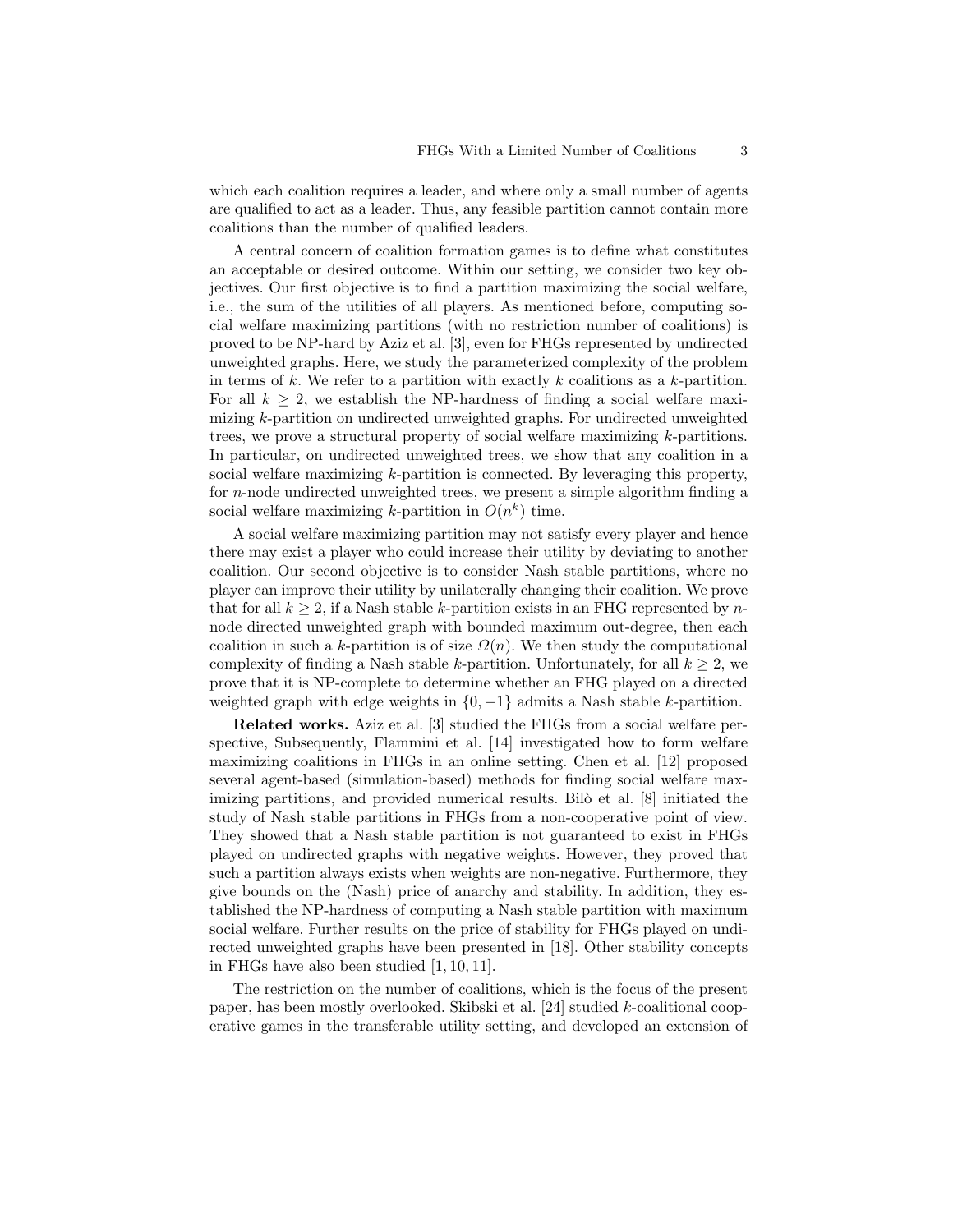which each coalition requires a leader, and where only a small number of agents are qualified to act as a leader. Thus, any feasible partition cannot contain more coalitions than the number of qualified leaders.

A central concern of coalition formation games is to define what constitutes an acceptable or desired outcome. Within our setting, we consider two key objectives. Our first objective is to find a partition maximizing the social welfare, i.e., the sum of the utilities of all players. As mentioned before, computing social welfare maximizing partitions (with no restriction number of coalitions) is proved to be NP-hard by Aziz et al. [3], even for FHGs represented by undirected unweighted graphs. Here, we study the parameterized complexity of the problem in terms of k. We refer to a partition with exactly k coalitions as a k-partition. For all  $k \geq 2$ , we establish the NP-hardness of finding a social welfare maximizing k-partition on undirected unweighted graphs. For undirected unweighted trees, we prove a structural property of social welfare maximizing k-partitions. In particular, on undirected unweighted trees, we show that any coalition in a social welfare maximizing k-partition is connected. By leveraging this property, for n-node undirected unweighted trees, we present a simple algorithm finding a social welfare maximizing k-partition in  $O(n^k)$  time.

A social welfare maximizing partition may not satisfy every player and hence there may exist a player who could increase their utility by deviating to another coalition. Our second objective is to consider Nash stable partitions, where no player can improve their utility by unilaterally changing their coalition. We prove that for all  $k \geq 2$ , if a Nash stable k-partition exists in an FHG represented by nnode directed unweighted graph with bounded maximum out-degree, then each coalition in such a k-partition is of size  $\Omega(n)$ . We then study the computational complexity of finding a Nash stable k-partition. Unfortunately, for all  $k \geq 2$ , we prove that it is NP-complete to determine whether an FHG played on a directed weighted graph with edge weights in  $\{0, -1\}$  admits a Nash stable k-partition.

Related works. Aziz et al. [3] studied the FHGs from a social welfare perspective, Subsequently, Flammini et al. [14] investigated how to form welfare maximizing coalitions in FHGs in an online setting. Chen et al. [12] proposed several agent-based (simulation-based) methods for finding social welfare maximizing partitions, and provided numerical results. Bilò et al. [8] initiated the study of Nash stable partitions in FHGs from a non-cooperative point of view. They showed that a Nash stable partition is not guaranteed to exist in FHGs played on undirected graphs with negative weights. However, they proved that such a partition always exists when weights are non-negative. Furthermore, they give bounds on the (Nash) price of anarchy and stability. In addition, they established the NP-hardness of computing a Nash stable partition with maximum social welfare. Further results on the price of stability for FHGs played on undirected unweighted graphs have been presented in [18]. Other stability concepts in FHGs have also been studied [1, 10, 11].

The restriction on the number of coalitions, which is the focus of the present paper, has been mostly overlooked. Skibski et al. [24] studied k-coalitional cooperative games in the transferable utility setting, and developed an extension of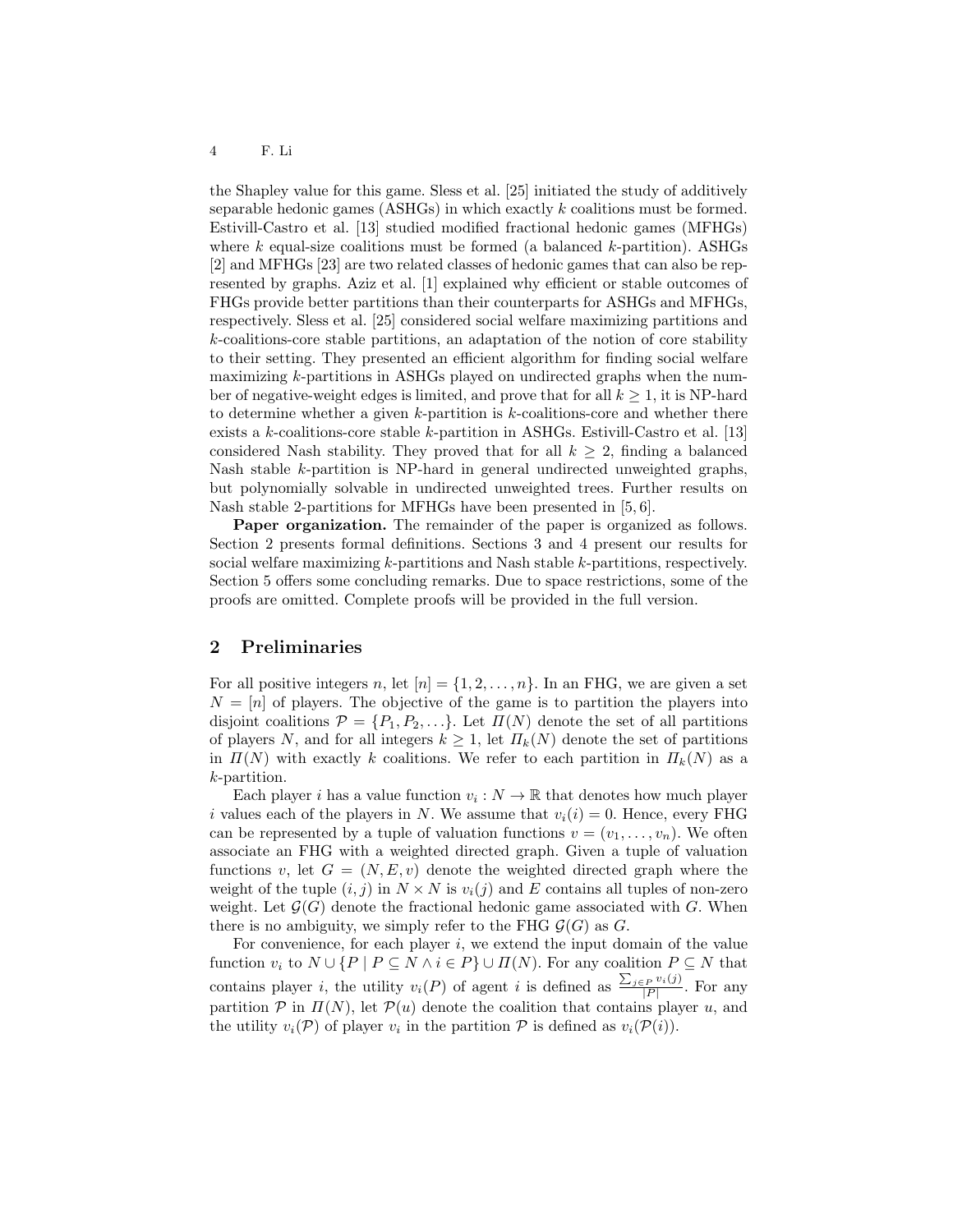the Shapley value for this game. Sless et al. [25] initiated the study of additively separable hedonic games (ASHGs) in which exactly k coalitions must be formed. Estivill-Castro et al. [13] studied modified fractional hedonic games (MFHGs) where  $k$  equal-size coalitions must be formed (a balanced  $k$ -partition). ASHGs [2] and MFHGs [23] are two related classes of hedonic games that can also be represented by graphs. Aziz et al. [1] explained why efficient or stable outcomes of FHGs provide better partitions than their counterparts for ASHGs and MFHGs, respectively. Sless et al. [25] considered social welfare maximizing partitions and k-coalitions-core stable partitions, an adaptation of the notion of core stability to their setting. They presented an efficient algorithm for finding social welfare maximizing k-partitions in ASHGs played on undirected graphs when the number of negative-weight edges is limited, and prove that for all  $k \geq 1$ , it is NP-hard to determine whether a given k-partition is k-coalitions-core and whether there exists a  $k$ -coalitions-core stable  $k$ -partition in ASHGs. Estivill-Castro et al. [13] considered Nash stability. They proved that for all  $k \geq 2$ , finding a balanced Nash stable k-partition is NP-hard in general undirected unweighted graphs, but polynomially solvable in undirected unweighted trees. Further results on Nash stable 2-partitions for MFHGs have been presented in [5, 6].

Paper organization. The remainder of the paper is organized as follows. Section 2 presents formal definitions. Sections 3 and 4 present our results for social welfare maximizing k-partitions and Nash stable k-partitions, respectively. Section 5 offers some concluding remarks. Due to space restrictions, some of the proofs are omitted. Complete proofs will be provided in the full version.

## 2 Preliminaries

For all positive integers n, let  $[n] = \{1, 2, \ldots, n\}$ . In an FHG, we are given a set  $N = [n]$  of players. The objective of the game is to partition the players into disjoint coalitions  $\mathcal{P} = \{P_1, P_2, \ldots\}$ . Let  $\Pi(N)$  denote the set of all partitions of players N, and for all integers  $k \geq 1$ , let  $\Pi_k(N)$  denote the set of partitions in  $\Pi(N)$  with exactly k coalitions. We refer to each partition in  $\Pi_k(N)$  as a k-partition.

Each player *i* has a value function  $v_i : N \to \mathbb{R}$  that denotes how much player i values each of the players in N. We assume that  $v_i(i) = 0$ . Hence, every FHG can be represented by a tuple of valuation functions  $v = (v_1, \ldots, v_n)$ . We often associate an FHG with a weighted directed graph. Given a tuple of valuation functions v, let  $G = (N, E, v)$  denote the weighted directed graph where the weight of the tuple  $(i, j)$  in  $N \times N$  is  $v_i(j)$  and E contains all tuples of non-zero weight. Let  $\mathcal{G}(G)$  denote the fractional hedonic game associated with G. When there is no ambiguity, we simply refer to the FHG  $\mathcal{G}(G)$  as G.

For convenience, for each player  $i$ , we extend the input domain of the value function  $v_i$  to  $N \cup \{P \mid P \subseteq N \land i \in P\} \cup \Pi(N)$ . For any coalition  $P \subseteq N$  that contains player *i*, the utility  $v_i(P)$  of agent *i* is defined as  $\frac{\sum_{j \in P} v_i(j)}{|P|}$  $\frac{P^{v_i}(J)}{|P|}$ . For any partition  $P$  in  $\Pi(N)$ , let  $P(u)$  denote the coalition that contains player u, and the utility  $v_i(\mathcal{P})$  of player  $v_i$  in the partition  $\mathcal P$  is defined as  $v_i(\mathcal{P}(i))$ .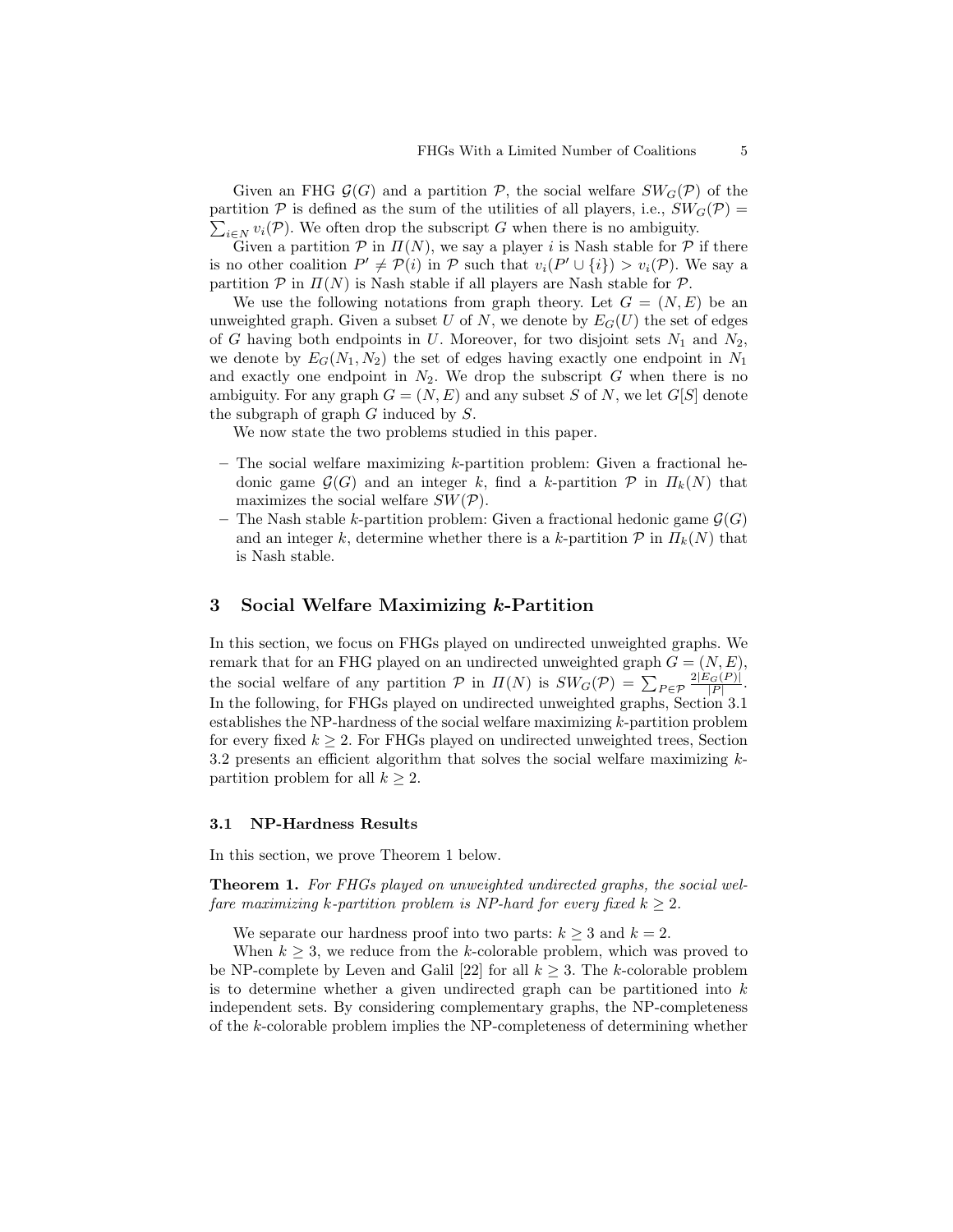Given an FHG  $\mathcal{G}(G)$  and a partition  $\mathcal{P}$ , the social welfare  $SW_G(\mathcal{P})$  of the partition  $P$  is defined as the sum of the utilities of all players, i.e.,  $SW_G(P)$  =  $\sum_{i\in N} v_i(\mathcal{P})$ . We often drop the subscript G when there is no ambiguity.

Given a partition  $P$  in  $\Pi(N)$ , we say a player i is Nash stable for  $P$  if there is no other coalition  $P' \neq \mathcal{P}(i)$  in  $\mathcal P$  such that  $v_i(P' \cup \{i\}) > v_i(\mathcal{P})$ . We say a partition  $P$  in  $\Pi(N)$  is Nash stable if all players are Nash stable for  $P$ .

We use the following notations from graph theory. Let  $G = (N, E)$  be an unweighted graph. Given a subset U of N, we denote by  $E_G(U)$  the set of edges of G having both endpoints in U. Moreover, for two disjoint sets  $N_1$  and  $N_2$ , we denote by  $E_G(N_1, N_2)$  the set of edges having exactly one endpoint in  $N_1$ and exactly one endpoint in  $N_2$ . We drop the subscript G when there is no ambiguity. For any graph  $G = (N, E)$  and any subset S of N, we let  $G[S]$  denote the subgraph of graph G induced by S.

We now state the two problems studied in this paper.

- The social welfare maximizing  $k$ -partition problem: Given a fractional hedonic game  $\mathcal{G}(G)$  and an integer k, find a k-partition  $\mathcal{P}$  in  $\Pi_k(N)$  that maximizes the social welfare  $SW(\mathcal{P})$ .
- The Nash stable k-partition problem: Given a fractional hedonic game  $\mathcal{G}(G)$ and an integer k, determine whether there is a k-partition  $\mathcal P$  in  $\Pi_k(N)$  that is Nash stable.

## 3 Social Welfare Maximizing k-Partition

In this section, we focus on FHGs played on undirected unweighted graphs. We remark that for an FHG played on an undirected unweighted graph  $G = (N, E)$ , the social welfare of any partition  $P$  in  $\Pi(N)$  is  $SW_G(P) = \sum_{P \in \mathcal{P}} \frac{2|E_G(P)|}{|P|}$ . In the following, for FHGs played on undirected unweighted graphs, Section 3.1 establishes the NP-hardness of the social welfare maximizing k-partition problem for every fixed  $k \geq 2$ . For FHGs played on undirected unweighted trees, Section 3.2 presents an efficient algorithm that solves the social welfare maximizing kpartition problem for all  $k \geq 2$ .

#### 3.1 NP-Hardness Results

In this section, we prove Theorem 1 below.

Theorem 1. For FHGs played on unweighted undirected graphs, the social welfare maximizing k-partition problem is NP-hard for every fixed  $k > 2$ .

We separate our hardness proof into two parts:  $k \geq 3$  and  $k = 2$ .

When  $k \geq 3$ , we reduce from the k-colorable problem, which was proved to be NP-complete by Leven and Galil [22] for all  $k \geq 3$ . The k-colorable problem is to determine whether a given undirected graph can be partitioned into  $k$ independent sets. By considering complementary graphs, the NP-completeness of the k-colorable problem implies the NP-completeness of determining whether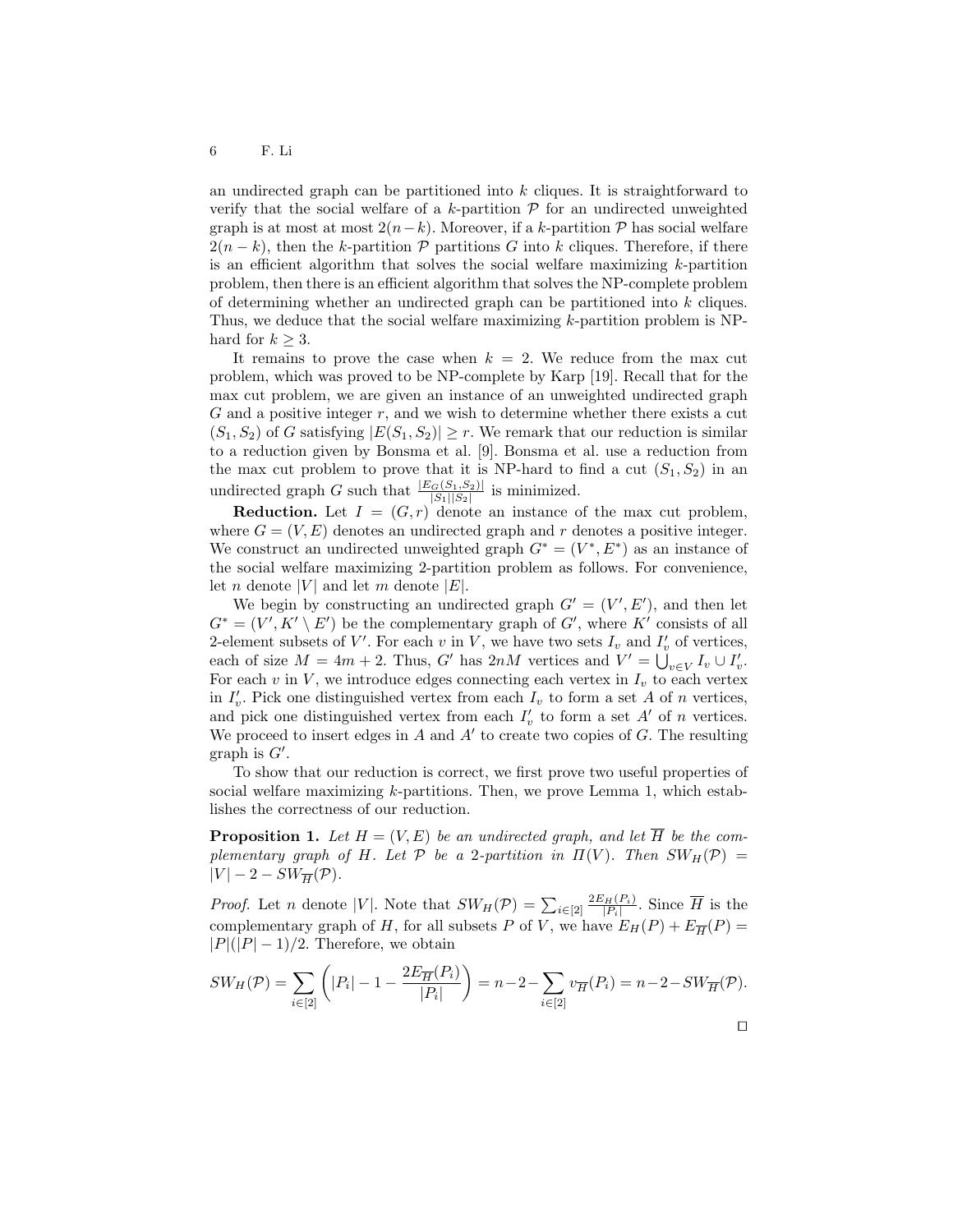an undirected graph can be partitioned into  $k$  cliques. It is straightforward to verify that the social welfare of a k-partition  $\mathcal P$  for an undirected unweighted graph is at most at most  $2(n-k)$ . Moreover, if a k-partition  $\mathcal{P}$  has social welfare  $2(n - k)$ , then the k-partition P partitions G into k cliques. Therefore, if there is an efficient algorithm that solves the social welfare maximizing  $k$ -partition problem, then there is an efficient algorithm that solves the NP-complete problem of determining whether an undirected graph can be partitioned into k cliques. Thus, we deduce that the social welfare maximizing  $k$ -partition problem is NPhard for  $k \geq 3$ .

It remains to prove the case when  $k = 2$ . We reduce from the max cut problem, which was proved to be NP-complete by Karp [19]. Recall that for the max cut problem, we are given an instance of an unweighted undirected graph  $G$  and a positive integer  $r$ , and we wish to determine whether there exists a cut  $(S_1, S_2)$  of G satisfying  $|E(S_1, S_2)| \geq r$ . We remark that our reduction is similar to a reduction given by Bonsma et al. [9]. Bonsma et al. use a reduction from the max cut problem to prove that it is NP-hard to find a cut  $(S_1, S_2)$  in an undirected graph G such that  $\frac{|E_G(S_1, S_2)|}{|S_1||S_2|}$  is minimized.

**Reduction.** Let  $I = (G, r)$  denote an instance of the max cut problem, where  $G = (V, E)$  denotes an undirected graph and r denotes a positive integer. We construct an undirected unweighted graph  $G^* = (V^*, E^*)$  as an instance of the social welfare maximizing 2-partition problem as follows. For convenience, let *n* denote |V| and let *m* denote  $|E|$ .

We begin by constructing an undirected graph  $G' = (V', E')$ , and then let  $G^* = (V', K' \setminus E')$  be the complementary graph of  $G'$ , where  $K'$  consists of all 2-element subsets of  $V'$ . For each v in V, we have two sets  $I_v$  and  $I'_v$  of vertices, each of size  $M = 4m + 2$ . Thus, G' has  $2nM$  vertices and  $V' = \bigcup_{v \in V} I_v \cup I'_v$ . For each v in  $V$ , we introduce edges connecting each vertex in  $I_v$  to each vertex in  $I'_v$ . Pick one distinguished vertex from each  $I_v$  to form a set A of n vertices, and pick one distinguished vertex from each  $I'_v$  to form a set  $A'$  of n vertices. We proceed to insert edges in  $A$  and  $A'$  to create two copies of  $G$ . The resulting graph is  $G'$ .

To show that our reduction is correct, we first prove two useful properties of social welfare maximizing k-partitions. Then, we prove Lemma 1, which establishes the correctness of our reduction.

**Proposition 1.** Let  $H = (V, E)$  be an undirected graph, and let  $\overline{H}$  be the complementary graph of H. Let P be a 2-partition in  $\Pi(V)$ . Then  $SW_H(\mathcal{P}) =$  $|V| - 2 - SW_{\overline{H}}(\mathcal{P}).$ 

*Proof.* Let *n* denote |V|. Note that  $SW_H(\mathcal{P}) = \sum_{i \in [2]} \frac{2E_H(P_i)}{|P_i|}$  $\frac{H(P_i)}{|P_i|}$ . Since H is the complementary graph of H, for all subsets P of V, we have  $E_H(P) + E_{\overline{H}}(P) =$  $|P|(|P|-1)/2$ . Therefore, we obtain

$$
SW_H(\mathcal{P}) = \sum_{i \in [2]} \left( |P_i| - 1 - \frac{2E_{\overline{H}}(P_i)}{|P_i|} \right) = n - 2 - \sum_{i \in [2]} v_{\overline{H}}(P_i) = n - 2 - SW_{\overline{H}}(\mathcal{P}).
$$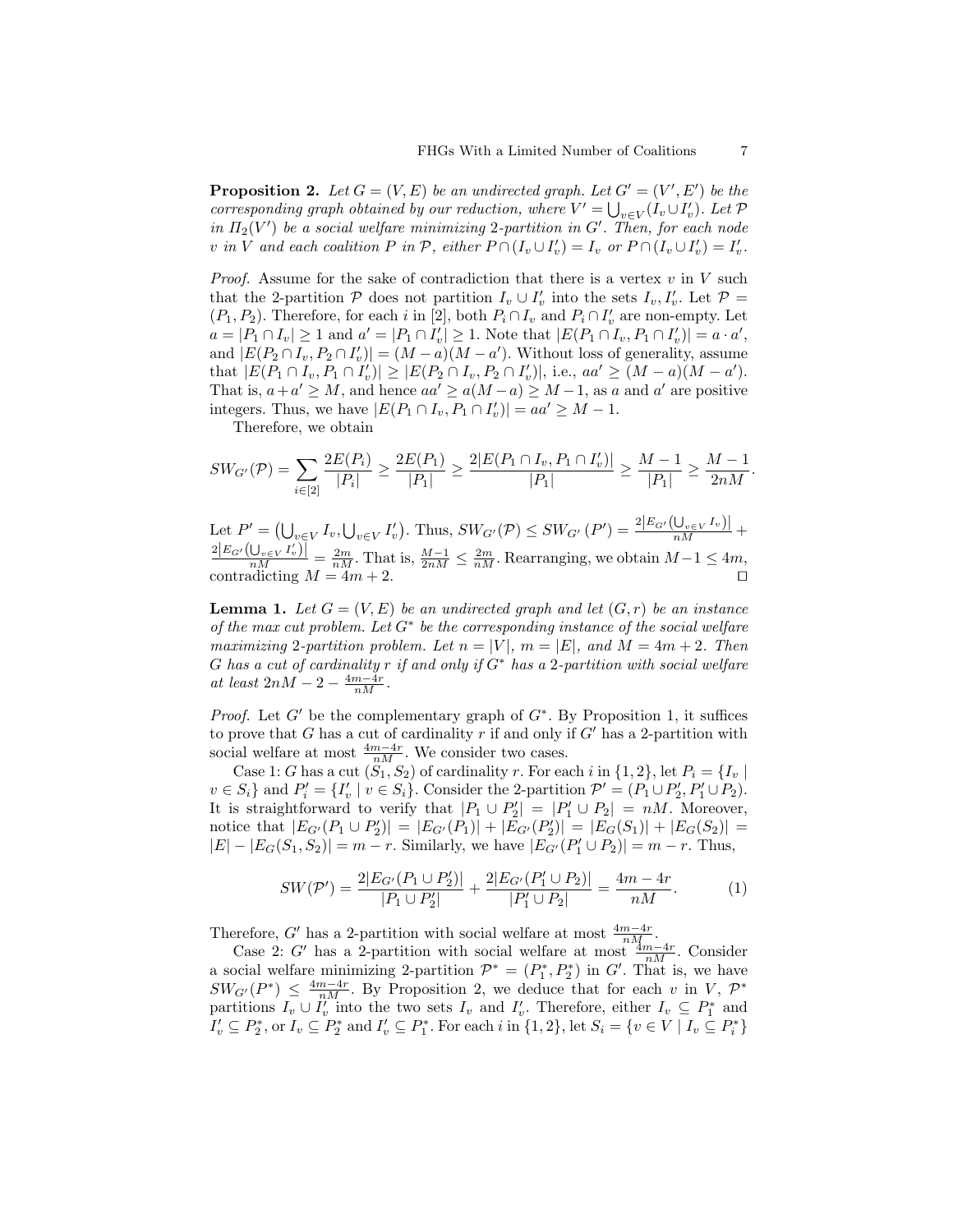**Proposition 2.** Let  $G = (V, E)$  be an undirected graph. Let  $G' = (V', E')$  be the corresponding graph obtained by our reduction, where  $V' = \bigcup_{v \in V} (I_v \cup I'_v)$ . Let  $\mathcal{P}$ in  $\Pi_2(V')$  be a social welfare minimizing 2-partition in G'. Then, for each node v in V and each coalition P in P, either  $P \cap (I_v \cup I_v') = I_v$  or  $P \cap (I_v \cup I_v') = I_v'$ .

*Proof.* Assume for the sake of contradiction that there is a vertex v in V such that the 2-partition  $P$  does not partition  $I_v \cup I'_v$  into the sets  $I_v, I'_v$ . Let  $P =$  $(P_1, P_2)$ . Therefore, for each i in [2], both  $P_i \cap I_v$  and  $P_i \cap I_v'$  are non-empty. Let  $a = |P_1 \cap I_v| \ge 1$  and  $a' = |P_1 \cap I_v'| \ge 1$ . Note that  $|E(P_1 \cap I_v, P_1 \cap I_v')| = a \cdot a'$ , and  $|E(P_2 \cap I_v, P_2 \cap I_v')| = (M - a)(M - a')$ . Without loss of generality, assume that  $|E(P_1 \cap I_v, P_1 \cap I'_v)| \geq |E(P_2 \cap I_v, P_2 \cap I'_v)|$ , i.e.,  $aa' \geq (M - a)(M - a')$ . That is,  $a + a' \geq M$ , and hence  $aa' \geq a(M - a) \geq M - 1$ , as a and a' are positive integers. Thus, we have  $|E(P_1 \cap I_v, P_1 \cap I'_v)| = aa' \geq M - 1$ .

Therefore, we obtain

$$
SW_{G'}(\mathcal{P}) = \sum_{i \in [2]} \frac{2E(P_i)}{|P_i|} \ge \frac{2E(P_1)}{|P_1|} \ge \frac{2|E(P_1 \cap I_v, P_1 \cap I_v')|}{|P_1|} \ge \frac{M-1}{|P_1|} \ge \frac{M-1}{2nM}
$$

Let  $P' = (\bigcup_{v \in V} I_v, \bigcup_{v \in V} I'_v)$ . Thus,  $SW_{G'}(\mathcal{P}) \leq SW_{G'}(P') = \frac{2|E_{G'}(\bigcup_{v \in V} I_v)|}{nM} +$  $\frac{2|E_{G'}(\bigcup_{v\in V}I'_v)\big|}{nM} = \frac{2m}{nM}$ . That is,  $\frac{M-1}{2nM} \leq \frac{2m}{nM}$ . Rearranging, we obtain  $M-1 \leq 4m$ , contradicting  $M = 4m + 2$ .

**Lemma 1.** Let  $G = (V, E)$  be an undirected graph and let  $(G, r)$  be an instance of the max cut problem. Let  $G^*$  be the corresponding instance of the social welfare maximizing 2-partition problem. Let  $n = |V|$ ,  $m = |E|$ , and  $M = 4m + 2$ . Then G has a cut of cardinality r if and only if  $G^*$  has a 2-partition with social welfare at least  $2nM-2-\frac{4m-4r}{nM}$ .

*Proof.* Let  $G'$  be the complementary graph of  $G^*$ . By Proposition 1, it suffices to prove that G has a cut of cardinality r if and only if  $G'$  has a 2-partition with social welfare at most  $\frac{4m-4r}{nM}$ . We consider two cases.

Case 1: G has a cut  $(S_1, S_2)$  of cardinality r. For each i in  $\{1, 2\}$ , let  $P_i = \{I_v \mid$  $v \in S_i$  and  $P'_i = \{I'_v \mid v \in S_i\}$ . Consider the 2-partition  $\mathcal{P}' = (P_1 \cup P'_2, P'_1 \cup P_2)$ . It is straightforward to verify that  $|P_1 \cup P_2'| = |P_1' \cup P_2| = nM$ . Moreover, notice that  $|E_{G'}(P_1 \cup P'_2)| = |E_{G'}(P_1)| + |E_{G'}(P'_2)| = |E_G(S_1)| + |E_G(S_2)| =$  $|E| - |E_G(S_1, S_2)| = m - r$ . Similarly, we have  $|E_{G'}(P'_1 \cup P_2)| = m - r$ . Thus,

$$
SW(\mathcal{P}') = \frac{2|E_{G'}(P_1 \cup P'_2)|}{|P_1 \cup P'_2|} + \frac{2|E_{G'}(P'_1 \cup P_2)|}{|P'_1 \cup P_2|} = \frac{4m - 4r}{nM}.
$$
 (1)

Therefore, G' has a 2-partition with social welfare at most  $\frac{4m-4r}{nM}$ .

Case 2: G' has a 2-partition with social welfare at most  $\frac{4m-4r}{nM}$ . Consider a social welfare minimizing 2-partition  $\mathcal{P}^* = (P_1^*, P_2^*)$  in G'. That is, we have  $SW_{G'}(P^*) \leq \frac{4m-4r}{nM}$ . By Proposition 2, we deduce that for each v in V,  $\mathcal{P}^*$ partitions  $I_v \cup I_v'$  into the two sets  $I_v$  and  $I_v'$ . Therefore, either  $I_v \subseteq P_1^*$  and  $I'_v \subseteq P_2^*$ , or  $I_v \subseteq P_2^*$  and  $I'_v \subseteq P_1^*$ . For each i in  $\{1,2\}$ , let  $S_i = \{v \in V \mid I_v \subseteq P_i^*\}$ 

.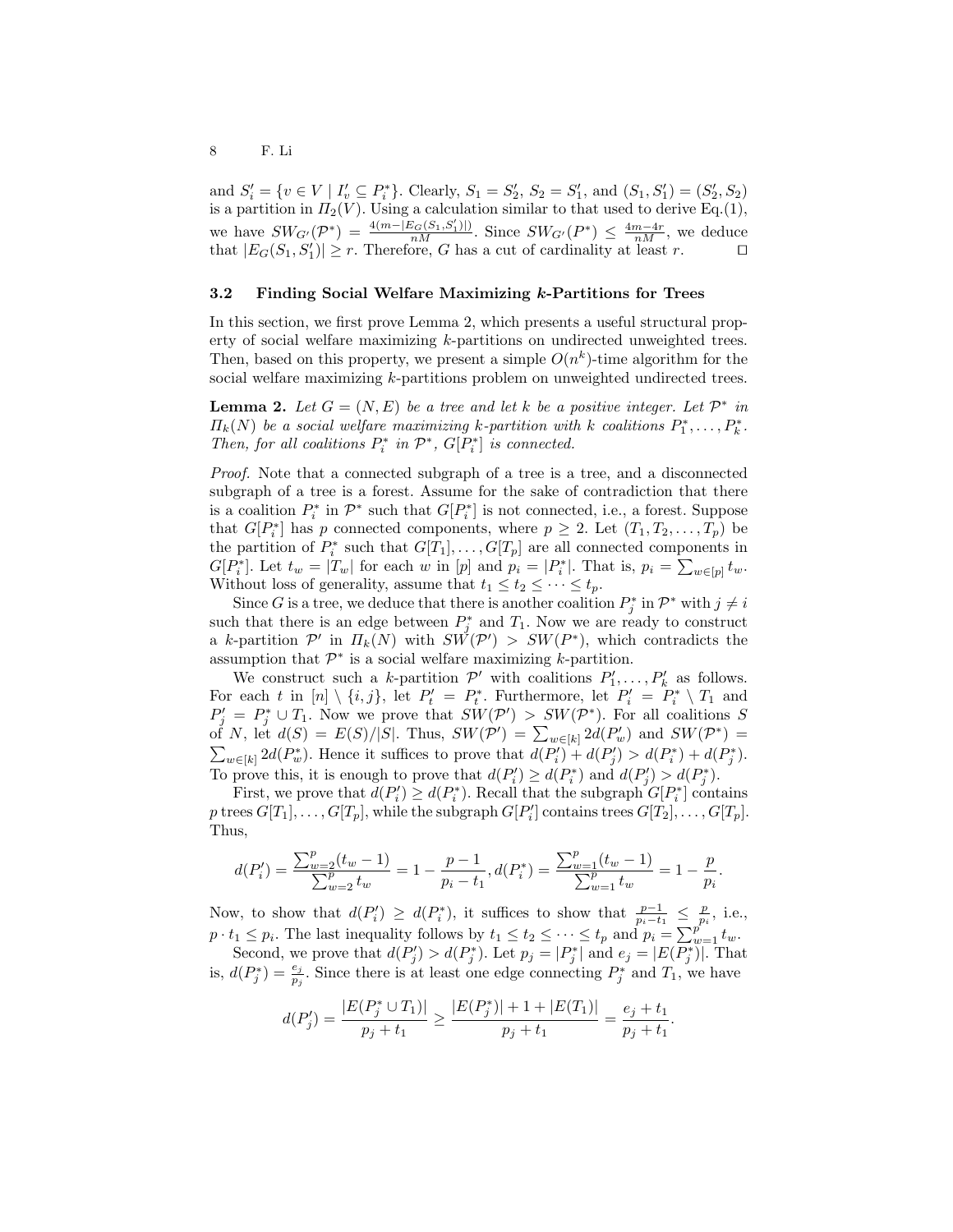and  $S'_i = \{v \in V \mid I'_v \subseteq P_i^*\}$ . Clearly,  $S_1 = S'_2$ ,  $S_2 = S'_1$ , and  $(S_1, S'_1) = (S'_2, S_2)$ is a partition in  $\Pi_2(V)$ . Using a calculation similar to that used to derive Eq.(1), we have  $SW_{G'}(\mathcal{P}^*) = \frac{4(m - |E_G(S_1, S'_1)|)}{nM}$ . Since  $SW_{G'}(P^*) \leq \frac{4m-4r}{nM}$ , we deduce that  $|E_G(S_1, S'_1)| \geq r$ . Therefore, G has a cut of cardinality at least r.

#### 3.2 Finding Social Welfare Maximizing k-Partitions for Trees

In this section, we first prove Lemma 2, which presents a useful structural property of social welfare maximizing k-partitions on undirected unweighted trees. Then, based on this property, we present a simple  $O(n^k)$ -time algorithm for the social welfare maximizing k-partitions problem on unweighted undirected trees.

**Lemma 2.** Let  $G = (N, E)$  be a tree and let k be a positive integer. Let  $\mathcal{P}^*$  in  $\Pi_k(N)$  be a social welfare maximizing k-partition with k coalitions  $P_1^*, \ldots, P_k^*$ . Then, for all coalitions  $P_i^*$  in  $\mathcal{P}^*$ ,  $G[P_i^*]$  is connected.

Proof. Note that a connected subgraph of a tree is a tree, and a disconnected subgraph of a tree is a forest. Assume for the sake of contradiction that there is a coalition  $P_i^*$  in  $\mathcal{P}^*$  such that  $G[P_i^*]$  is not connected, i.e., a forest. Suppose that  $G[P_i^*]$  has p connected components, where  $p \geq 2$ . Let  $(T_1, T_2, \ldots, T_p)$  be the partition of  $P_i^*$  such that  $G[T_1], \ldots, G[T_p]$  are all connected components in  $G[P_i^*]$ . Let  $t_w = |T_w|$  for each w in  $[p]$  and  $p_i = |P_i^*|$ . That is,  $p_i = \sum_{w \in [p]} t_w$ . Without loss of generality, assume that  $t_1 \leq t_2 \leq \cdots \leq t_p$ .

Since G is a tree, we deduce that there is another coalition  $P_j^*$  in  $\mathcal{P}^*$  with  $j \neq i$ such that there is an edge between  $P_j^*$  and  $T_1$ . Now we are ready to construct a k-partition  $\mathcal{P}'$  in  $\Pi_k(N)$  with  $SW(\mathcal{P}') > SW(P^*)$ , which contradicts the assumption that  $\mathcal{P}^*$  is a social welfare maximizing *k*-partition.

We construct such a k-partition  $\mathcal{P}'$  with coalitions  $P'_1, \ldots, P'_k$  as follows. For each t in  $[n] \setminus \{i, j\}$ , let  $P'_t = P_t^*$ . Furthermore, let  $P'_i = P_i^* \setminus T_1$  and  $P'_j = P^*_j \cup T_1$ . Now we prove that  $SW(\mathcal{P}') > SW(\mathcal{P}^*)$ . For all coalitions S of N, let  $d(S) = E(S)/|S|$ . Thus,  $SW(\mathcal{P}') = \sum_{w \in [k]} 2d(P'_w)$  and  $SW(\mathcal{P}^*) =$  $\sum_{w\in[k]} 2d(P_w^*)$ . Hence it suffices to prove that  $d(P_i') + d(P_j') > d(P_i^*) + d(P_j^*)$ . To prove this, it is enough to prove that  $d(P'_i) \geq d(P_i^*)$  and  $d(P'_j) > d(P_j^*)$ .

First, we prove that  $d(P'_i) \geq d(P_i^*)$ . Recall that the subgraph  $G[P_i^*]$  contains  $p$  trees  $G[T_1], \ldots, G[T_p]$ , while the subgraph  $G[P'_i]$  contains trees  $G[T_2], \ldots, G[T_p]$ . Thus,

$$
d(P'_i) = \frac{\sum_{w=2}^p (t_w - 1)}{\sum_{w=2}^p t_w} = 1 - \frac{p-1}{p_i - t_1}, d(P_i^*) = \frac{\sum_{w=1}^p (t_w - 1)}{\sum_{w=1}^p t_w} = 1 - \frac{p}{p_i}.
$$

Now, to show that  $d(P'_i) \geq d(P_i^*)$ , it suffices to show that  $\frac{p-1}{p_i-t_1} \leq \frac{p}{p_i}$ , i.e.,  $p \cdot t_1 \leq p_i$ . The last inequality follows by  $t_1 \leq t_2 \leq \cdots \leq t_p$  and  $p_i = \sum_{w=1}^{p^{e-i}} t_w$ .

Second, we prove that  $d(P'_j) > d(P_j^*)$ . Let  $p_j = |P_j^*|$  and  $e_j = |E(P_j^*)|$ . That is,  $d(P_j^*) = \frac{e_j}{p_j}$ . Since there is at least one edge connecting  $P_j^*$  and  $T_1$ , we have

$$
d(P'_j) = \frac{|E(P_j^* \cup T_1)|}{p_j + t_1} \ge \frac{|E(P_j^*)| + 1 + |E(T_1)|}{p_j + t_1} = \frac{e_j + t_1}{p_j + t_1}.
$$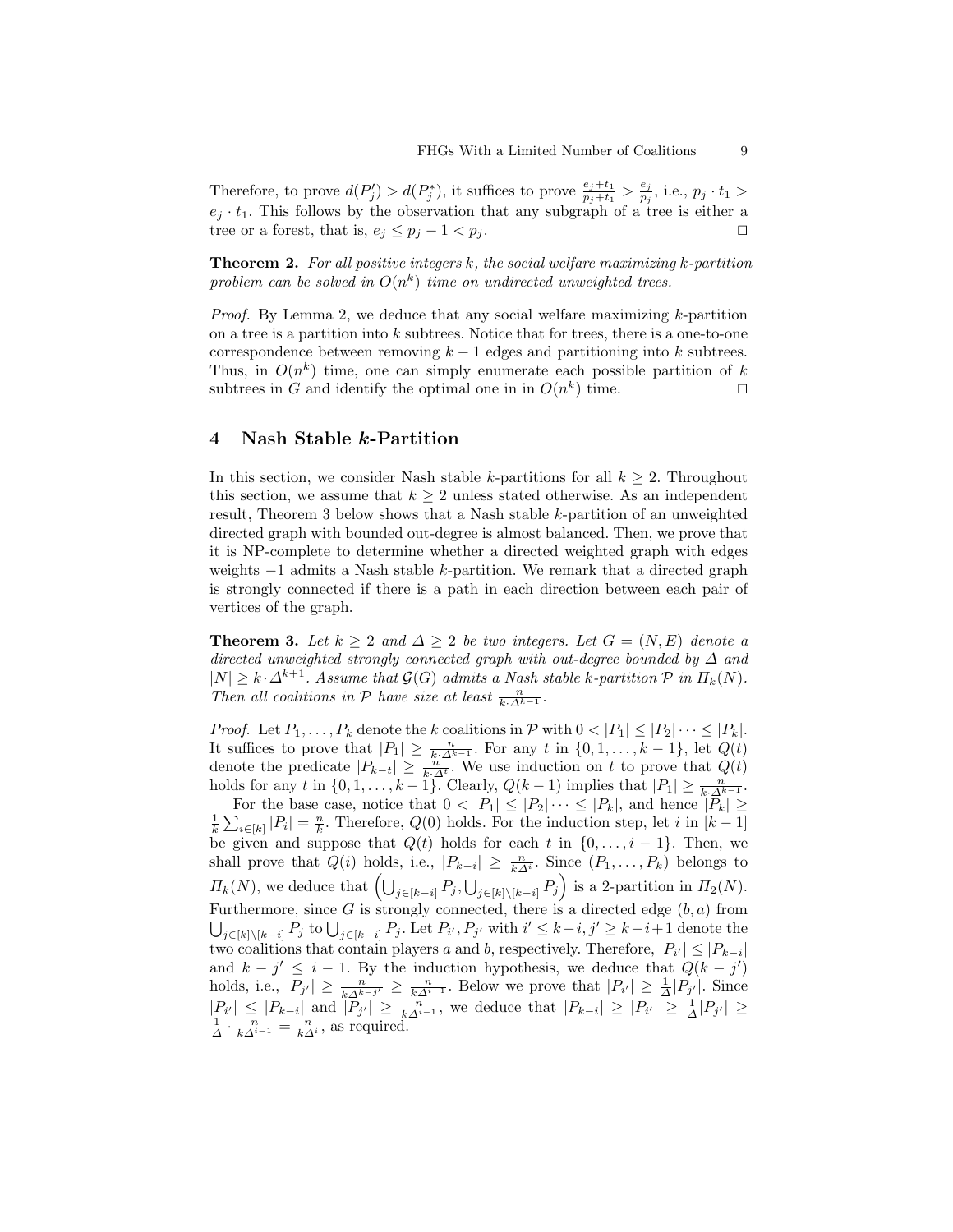Therefore, to prove  $d(P'_j) > d(P_j^*)$ , it suffices to prove  $\frac{e_j+t_1}{p_j+t_1} > \frac{e_j}{p_j}$  $\frac{e_j}{p_j}$ , i.e.,  $p_j \cdot t_1 >$  $e_j \cdot t_1$ . This follows by the observation that any subgraph of a tree is either a tree or a forest, that is,  $e_j \leq p_j - 1 < p_j$ .

**Theorem 2.** For all positive integers k, the social welfare maximizing k-partition problem can be solved in  $O(n^k)$  time on undirected unweighted trees.

*Proof.* By Lemma 2, we deduce that any social welfare maximizing  $k$ -partition on a tree is a partition into  $k$  subtrees. Notice that for trees, there is a one-to-one correspondence between removing  $k - 1$  edges and partitioning into k subtrees. Thus, in  $O(n^k)$  time, one can simply enumerate each possible partition of k subtrees in G and identify the optimal one in in  $O(n^k)$  time.

## 4 Nash Stable k-Partition

In this section, we consider Nash stable k-partitions for all  $k \geq 2$ . Throughout this section, we assume that  $k \geq 2$  unless stated otherwise. As an independent result, Theorem 3 below shows that a Nash stable k-partition of an unweighted directed graph with bounded out-degree is almost balanced. Then, we prove that it is NP-complete to determine whether a directed weighted graph with edges weights −1 admits a Nash stable k-partition. We remark that a directed graph is strongly connected if there is a path in each direction between each pair of vertices of the graph.

**Theorem 3.** Let  $k \geq 2$  and  $\Delta \geq 2$  be two integers. Let  $G = (N, E)$  denote a directed unweighted strongly connected graph with out-degree bounded by  $\Delta$  and  $|N| \geq k \cdot \Delta^{k+1}$ . Assume that  $\mathcal{G}(G)$  admits a Nash stable k-partition  $\mathcal{P}$  in  $\Pi_k(N)$ . Then all coalitions in  $P$  have size at least  $\frac{n}{k \cdot \Delta^{k-1}}$ .

*Proof.* Let  $P_1, \ldots, P_k$  denote the k coalitions in  $P$  with  $0 < |P_1| \leq |P_2| \cdots \leq |P_k|$ . It suffices to prove that  $|P_1| \geq \frac{n}{k \cdot \Delta^{k-1}}$ . For any t in  $\{0, 1, \ldots, k-1\}$ , let  $Q(t)$ denote the predicate  $|P_{k-t}| \geq \frac{n}{k \Delta t}$ . We use induction on t to prove that  $Q(t)$ holds for any t in  $\{0, 1, \ldots, k-1\}$ . Clearly,  $Q(k-1)$  implies that  $|P_1| \geq \frac{n}{k \cdot \Delta^{k-1}}$ .

For the base case, notice that  $0 < |P_1| \leq |P_2| \cdots \leq |P_k|$ , and hence  $|\overline{P_k}| \geq$  $\frac{1}{k}\sum_{i\in[k]}|P_i|=\frac{n}{k}$ . Therefore,  $Q(0)$  holds. For the induction step, let i in  $[k-1]$ be given and suppose that  $Q(t)$  holds for each t in  $\{0, \ldots, i-1\}$ . Then, we shall prove that  $Q(i)$  holds, i.e.,  $|P_{k-i}| \geq \frac{n}{k\Delta^i}$ . Since  $(P_1, \ldots, P_k)$  belongs to  $\Pi_k(N)$ , we deduce that  $\left(\bigcup_{j\in[k-i]} P_j, \bigcup_{j\in[k]\setminus[k-i]} P_j\right)$  is a 2-partition in  $\Pi_2(N)$ . Furthermore, since G is strongly connected, there is a directed edge  $(b, a)$  from  $\bigcup_{j\in[k]\setminus[k-i]} P_j$  to  $\bigcup_{j\in[k-i]} P_j$ . Let  $P_{i'}, P_{j'}$  with  $i' \leq k-i, j' \geq k-i+1$  denote the two coalitions that contain players a and b, respectively. Therefore,  $|P_{i'}| \leq |P_{k-i}|$ and  $k - j' \leq i - 1$ . By the induction hypothesis, we deduce that  $Q(k - j')$ holds, i.e.,  $|P_{j'}|\geq \frac{n}{k\Delta^{k-j'}}\geq \frac{n}{k\Delta^{i-1}}$ . Below we prove that  $|P_{i'}|\geq \frac{1}{\Delta}|P_{j'}|$ . Since  $|P_{i'}| \leq |P_{k-i}|$  and  $|\overline{P}_{j'}| \geq \frac{n}{k\Delta^{i-1}}$ , we deduce that  $|P_{k-i}| \geq |P_{i'}| \geq \frac{1}{\Delta}|P_{j'}| \geq \frac{1}{\Delta} \cdot \frac{n}{k\Delta^{i-1}} = \frac{n}{k\Delta^{i}}$ , as required.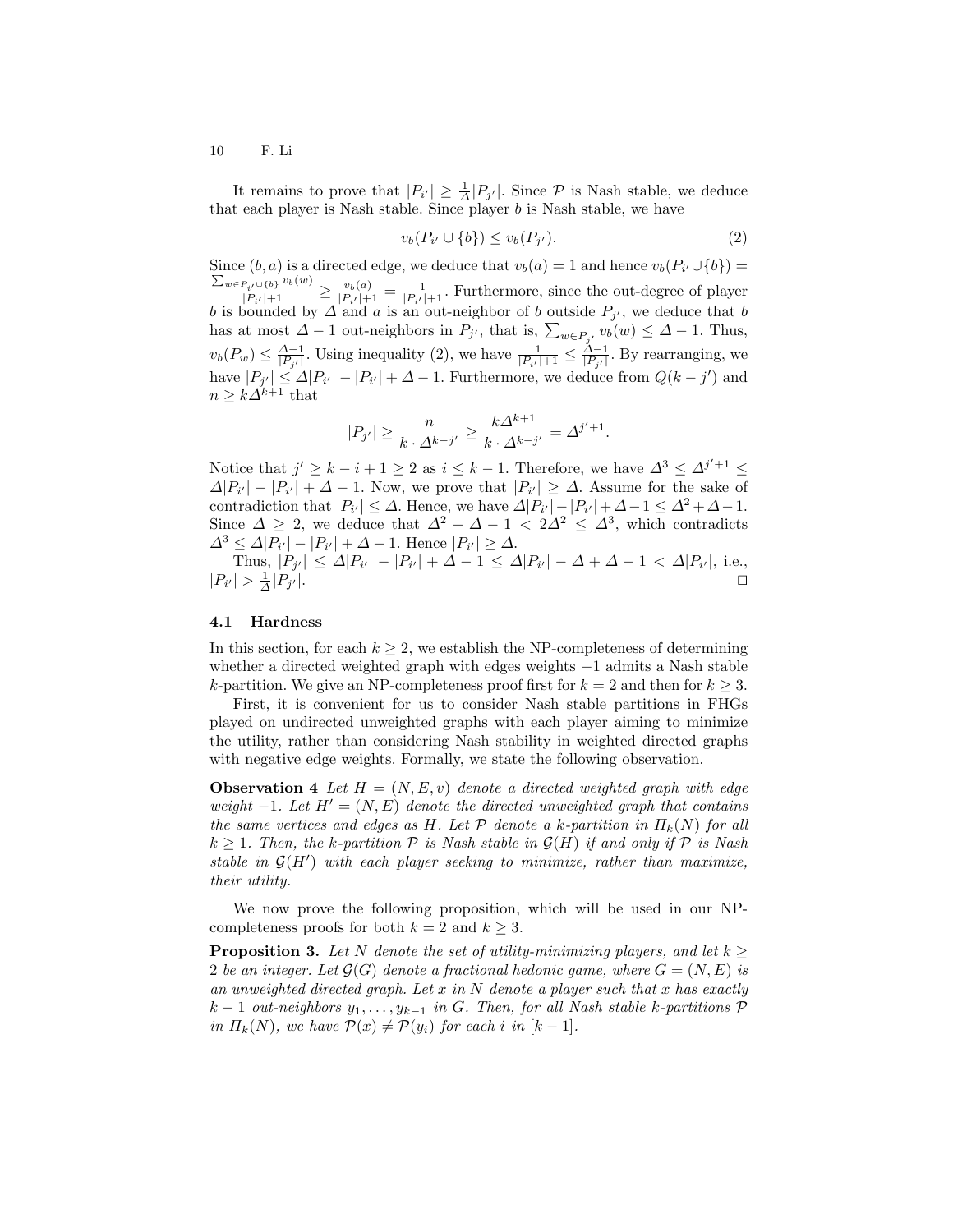It remains to prove that  $|P_{i'}| \geq \frac{1}{\Delta}|P_{j'}|$ . Since  $P$  is Nash stable, we deduce that each player is Nash stable. Since player  $b$  is Nash stable, we have

$$
v_b(P_{i'} \cup \{b\}) \le v_b(P_{j'}).
$$
\n(2)

Since  $(b, a)$  is a directed edge, we deduce that  $v_b(a) = 1$  and hence  $v_b(P_{i'} \cup \{b\}) =$ Since  $(b, a)$  is a directed edge, we deduce that  $v_b(a) = 1$  and hence  $v_b(P_{i'} \cup \{b\}) = \sum_{w \in P_{i'} \cup \{b\}} v_b(w)$ <br> $v_b(a) = 1$ . Furthermore, since the out-degree of player  $\frac{p_{i'} \cup \{b\}}{ |P_{i'}|+1} \geq \frac{v_b(a)}{ |P_{i'}|+1}$  $\frac{v_b(a)}{|P_{i'}|+1} = \frac{1}{|P_{i'}|+1}$ . Furthermore, since the out-degree of player b is bounded by  $\Delta$  and a is an out-neighbor of b outside  $P_{j'}$ , we deduce that b has at most  $\Delta - 1$  out-neighbors in  $P_{j'}$ , that is,  $\sum_{w \in P_{j'}} v_b(w) \leq \Delta - 1$ . Thus,  $v_b(P_w) \leq \frac{\Delta-1}{|P_{j'}|}$ . Using inequality (2), we have  $\frac{1}{|P_{i'}|+1} \leq \frac{\Delta-1}{|P_{j'}|}$ . By rearranging, we have  $|P_{j'}| \leq \Delta |P_{i'}| - |P_{i'}| + \Delta - 1$ . Furthermore, we deduce from  $Q(k - j')$  and  $n \geq k\Delta^{k+1}$  that

$$
|P_{j'}| \ge \frac{n}{k \cdot \Delta^{k-j'}} \ge \frac{k\Delta^{k+1}}{k \cdot \Delta^{k-j'}} = \Delta^{j'+1}.
$$

Notice that  $j' \geq k - i + 1 \geq 2$  as  $i \leq k - 1$ . Therefore, we have  $\Delta^3 \leq \Delta^{j'+1} \leq$  $\Delta |P_{i'}| - |P_{i'}| + \Delta - 1$ . Now, we prove that  $|P_{i'}| \geq \Delta$ . Assume for the sake of contradiction that  $|P_{i'}| \leq \Delta$ . Hence, we have  $\Delta |P_{i'}| - |P_{i'}| + \Delta - 1 \leq \Delta^2 + \Delta - 1$ . Since  $\Delta \geq 2$ , we deduce that  $\Delta^2 + \Delta - 1 < 2\Delta^2 \leq \Delta^3$ , which contradicts  $\Delta^3 \leq \Delta |P_{i'}| - |P_{i'}| + \Delta - 1$ . Hence  $|P_{i'}| \geq \Delta$ .

Thus,  $|P_{j'}| \leq \Delta |P_{i'}| - |P_{i'}| + \Delta - 1 \leq \Delta |P_{i'}| - \Delta + \Delta - 1 < \Delta |P_{i'}|$ , i.e.,  $|P_{i'}| > \frac{1}{\Delta}|P_j$  $\mathcal{A}$  |.  $\hphantom{\mathcal{A}}\Box$ 

#### 4.1 Hardness

In this section, for each  $k \geq 2$ , we establish the NP-completeness of determining whether a directed weighted graph with edges weights −1 admits a Nash stable k-partition. We give an NP-completeness proof first for  $k = 2$  and then for  $k \geq 3$ .

First, it is convenient for us to consider Nash stable partitions in FHGs played on undirected unweighted graphs with each player aiming to minimize the utility, rather than considering Nash stability in weighted directed graphs with negative edge weights. Formally, we state the following observation.

**Observation 4** Let  $H = (N, E, v)$  denote a directed weighted graph with edge weight  $-1$ . Let  $H' = (N, E)$  denote the directed unweighted graph that contains the same vertices and edges as H. Let  $\mathcal P$  denote a k-partition in  $\Pi_k(N)$  for all  $k \geq 1$ . Then, the k-partition  $P$  is Nash stable in  $\mathcal{G}(H)$  if and only if  $P$  is Nash stable in  $G(H')$  with each player seeking to minimize, rather than maximize, their utility.

We now prove the following proposition, which will be used in our NPcompleteness proofs for both  $k = 2$  and  $k \geq 3$ .

**Proposition 3.** Let N denote the set of utility-minimizing players, and let  $k >$ 2 be an integer. Let  $\mathcal{G}(G)$  denote a fractional hedonic game, where  $G = (N, E)$  is an unweighted directed graph. Let  $x$  in  $N$  denote a player such that  $x$  has exactly  $k-1$  out-neighbors  $y_1, \ldots, y_{k-1}$  in G. Then, for all Nash stable k-partitions  $\mathcal P$ in  $\Pi_k(N)$ , we have  $\mathcal{P}(x) \neq \mathcal{P}(y_i)$  for each i in  $[k-1]$ .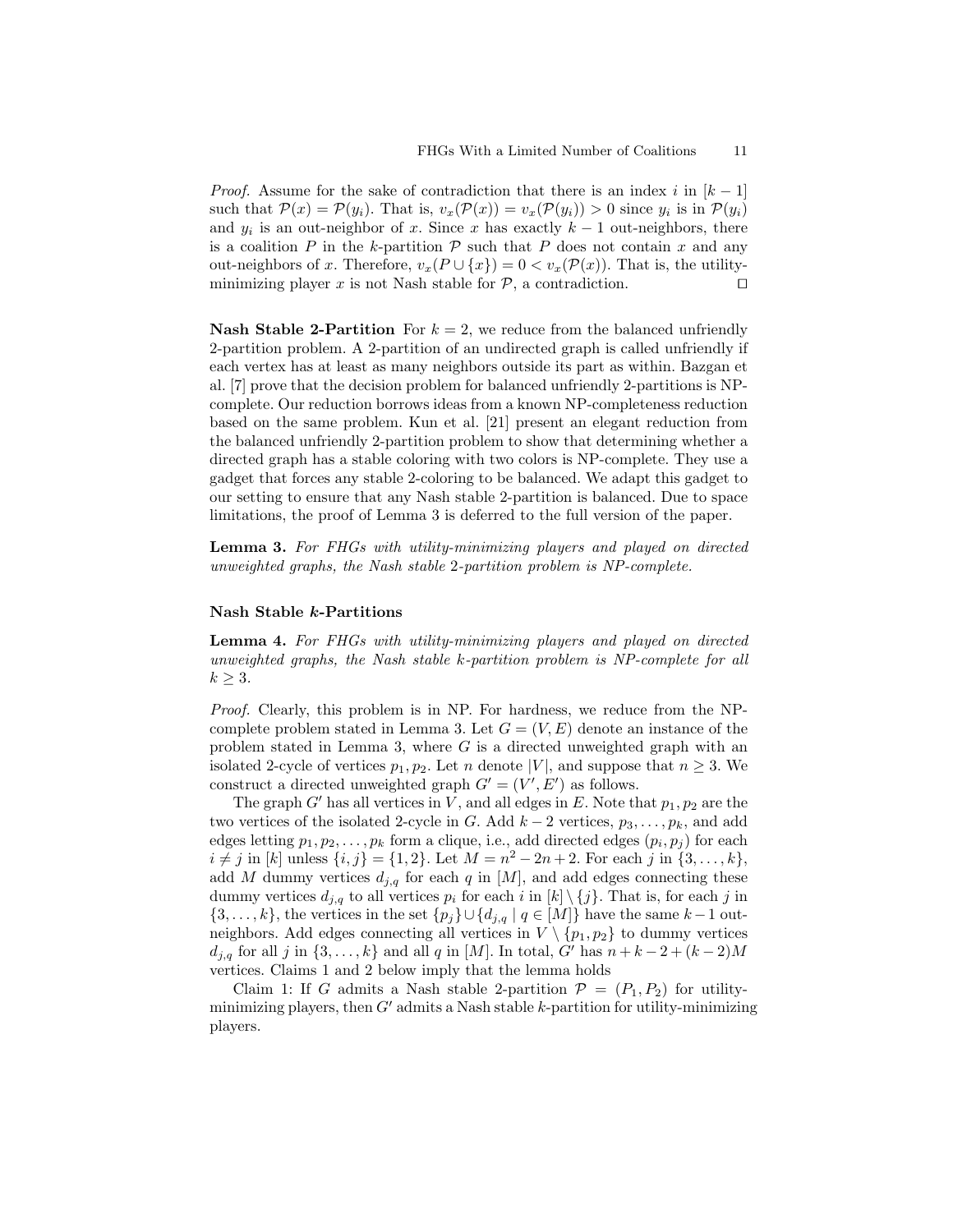*Proof.* Assume for the sake of contradiction that there is an index i in  $|k-1|$ such that  $\mathcal{P}(x) = \mathcal{P}(y_i)$ . That is,  $v_x(\mathcal{P}(x)) = v_x(\mathcal{P}(y_i)) > 0$  since  $y_i$  is in  $\mathcal{P}(y_i)$ and  $y_i$  is an out-neighbor of x. Since x has exactly  $k-1$  out-neighbors, there is a coalition  $P$  in the k-partition  $P$  such that  $P$  does not contain  $x$  and any out-neighbors of x. Therefore,  $v_x(P \cup \{x\}) = 0 < v_x(\mathcal{P}(x))$ . That is, the utilityminimizing player x is not Nash stable for  $P$ , a contradiction.  $\Box$ 

**Nash Stable 2-Partition** For  $k = 2$ , we reduce from the balanced unfriendly 2-partition problem. A 2-partition of an undirected graph is called unfriendly if each vertex has at least as many neighbors outside its part as within. Bazgan et al. [7] prove that the decision problem for balanced unfriendly 2-partitions is NPcomplete. Our reduction borrows ideas from a known NP-completeness reduction based on the same problem. Kun et al. [21] present an elegant reduction from the balanced unfriendly 2-partition problem to show that determining whether a directed graph has a stable coloring with two colors is NP-complete. They use a gadget that forces any stable 2-coloring to be balanced. We adapt this gadget to our setting to ensure that any Nash stable 2-partition is balanced. Due to space limitations, the proof of Lemma 3 is deferred to the full version of the paper.

Lemma 3. For FHGs with utility-minimizing players and played on directed unweighted graphs, the Nash stable 2-partition problem is NP-complete.

### Nash Stable k-Partitions

Lemma 4. For FHGs with utility-minimizing players and played on directed unweighted graphs, the Nash stable k-partition problem is NP-complete for all  $k \geq 3$ .

Proof. Clearly, this problem is in NP. For hardness, we reduce from the NPcomplete problem stated in Lemma 3. Let  $G = (V, E)$  denote an instance of the problem stated in Lemma 3, where  $G$  is a directed unweighted graph with an isolated 2-cycle of vertices  $p_1, p_2$ . Let n denote |V|, and suppose that  $n \geq 3$ . We construct a directed unweighted graph  $G' = (V', E')$  as follows.

The graph G' has all vertices in V, and all edges in E. Note that  $p_1, p_2$  are the two vertices of the isolated 2-cycle in G. Add  $k-2$  vertices,  $p_3, \ldots, p_k$ , and add edges letting  $p_1, p_2, \ldots, p_k$  form a clique, i.e., add directed edges  $(p_i, p_j)$  for each  $i \neq j$  in [k] unless  $\{i, j\} = \{1, 2\}$ . Let  $M = n^2 - 2n + 2$ . For each j in  $\{3, ..., k\}$ , add M dummy vertices  $d_{j,q}$  for each q in [M], and add edges connecting these dummy vertices  $d_{j,q}$  to all vertices  $p_i$  for each i in  $[k] \setminus \{j\}$ . That is, for each j in  $\{3,\ldots,k\}$ , the vertices in the set  $\{p_j\}\cup\{d_{j,q} | q \in [M]\}$  have the same  $k-1$  outneighbors. Add edges connecting all vertices in  $V \setminus \{p_1, p_2\}$  to dummy vertices  $d_{j,q}$  for all j in {3, ...,k} and all q in [M]. In total, G' has  $n + k - 2 + (k - 2)M$ vertices. Claims 1 and 2 below imply that the lemma holds

Claim 1: If G admits a Nash stable 2-partition  $\mathcal{P} = (P_1, P_2)$  for utilityminimizing players, then  $G'$  admits a Nash stable k-partition for utility-minimizing players.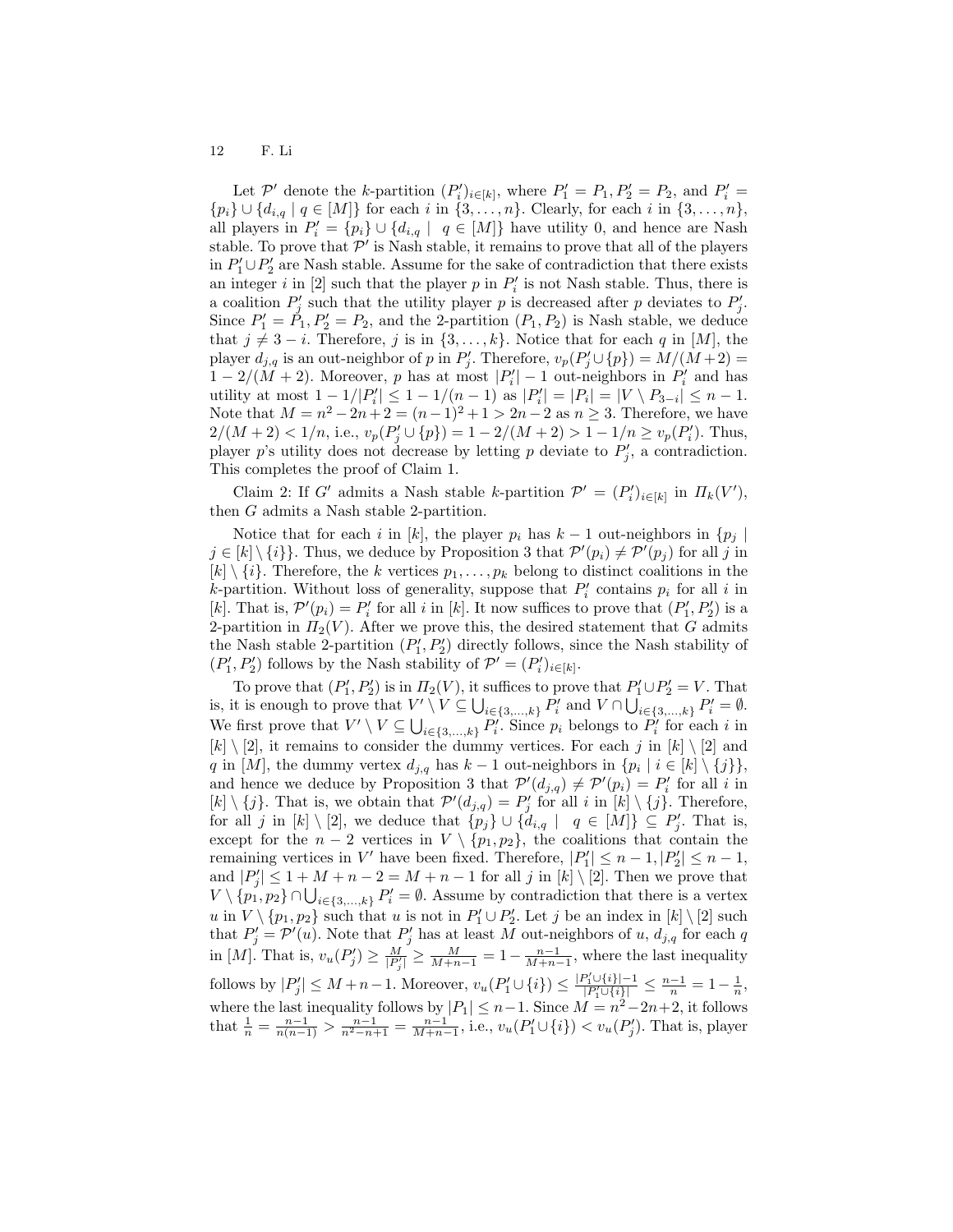Let P' denote the k-partition  $(P'_i)_{i \in [k]}$ , where  $P'_1 = P_1, P'_2 = P_2$ , and  $P'_i =$  $\{p_i\} \cup \{d_{i,q} | q \in [M]\}\$  for each i in  $\{3, \ldots, n\}$ . Clearly, for each i in  $\{3, \ldots, n\}$ , all players in  $P'_i = \{p_i\} \cup \{d_{i,q} \mid q \in [M]\}$  have utility 0, and hence are Nash stable. To prove that  $\mathcal{P}'$  is Nash stable, it remains to prove that all of the players in  $P'_1 \cup P'_2$  are Nash stable. Assume for the sake of contradiction that there exists an integer i in [2] such that the player p in  $P'_i$  is not Nash stable. Thus, there is a coalition  $P'_j$  such that the utility player p is decreased after p deviates to  $P'_j$ . Since  $P_1' = \tilde{P}_1, P_2' = P_2$ , and the 2-partition  $(P_1, P_2)$  is Nash stable, we deduce that  $j \neq 3 - i$ . Therefore, j is in  $\{3, \ldots, k\}$ . Notice that for each q in [M], the player  $d_{j,q}$  is an out-neighbor of p in  $P'_j$ . Therefore,  $v_p(P'_j \cup \{p\}) = M/(M+2) =$  $1 - 2/(M + 2)$ . Moreover, p has at most  $|P'_i| - 1$  out-neighbors in  $P'_i$  and has utility at most  $1 - 1/|P'_i| \leq 1 - 1/(n-1)$  as  $|P'_i| = |P_i| = |V \setminus P_{3-i}| \leq n-1$ . Note that  $M = n^2 - 2n + 2 = (n-1)^2 + 1 > 2n - 2$  as  $n \ge 3$ . Therefore, we have  $2/(M+2) < 1/n$ , i.e.,  $v_p(P'_j \cup \{p\}) = 1 - 2/(M+2) > 1 - 1/n \ge v_p(P'_i)$ . Thus, player p's utility does not decrease by letting p deviate to  $P'_j$ , a contradiction. This completes the proof of Claim 1.

Claim 2: If G' admits a Nash stable k-partition  $\mathcal{P}' = (P'_i)_{i \in [k]}$  in  $\Pi_k(V')$ , then G admits a Nash stable 2-partition.

Notice that for each i in [k], the player  $p_i$  has  $k-1$  out-neighbors in  $\{p_j \mid$  $j \in [k] \setminus \{i\}$ . Thus, we deduce by Proposition 3 that  $\mathcal{P}'(p_i) \neq \mathcal{P}'(p_j)$  for all j in  $[k] \setminus \{i\}$ . Therefore, the k vertices  $p_1, \ldots, p_k$  belong to distinct coalitions in the *k*-partition. Without loss of generality, suppose that  $P'_i$  contains  $p_i$  for all i in [k]. That is,  $\mathcal{P}'(p_i) = P'_i$  for all i in [k]. It now suffices to prove that  $(P'_1, P'_2)$  is a 2-partition in  $\Pi_2(V)$ . After we prove this, the desired statement that G admits the Nash stable 2-partition  $(P'_1, P'_2)$  directly follows, since the Nash stability of  $(P'_1, P'_2)$  follows by the Nash stability of  $\mathcal{P}' = (P'_i)_{i \in [k]}$ .

To prove that  $(P'_1, P'_2)$  is in  $\Pi_2(V)$ , it suffices to prove that  $P'_1 \cup P'_2 = V$ . That is, it is enough to prove that  $V' \setminus V \subseteq \bigcup_{i \in \{3,\ldots,k\}} P'_i$  and  $V \cap \bigcup_{i \in \{3,\ldots,k\}} P'_i = \emptyset$ . We first prove that  $V' \setminus V \subseteq \bigcup_{i \in \{3,\ldots,k\}} P'_i$ . Since  $p_i$  belongs to  $P'_i$  for each i in  $[k] \setminus [2]$ , it remains to consider the dummy vertices. For each j in  $[k] \setminus [2]$  and q in [M], the dummy vertex  $d_{j,q}$  has  $k-1$  out-neighbors in  $\{p_i \mid i \in [k] \setminus \{j\}\},\$ and hence we deduce by Proposition 3 that  $\mathcal{P}'(d_{j,q}) \neq \mathcal{P}'(p_i) = P'_i$  for all i in  $[k] \setminus \{j\}$ . That is, we obtain that  $\mathcal{P}'(d_{j,q}) = P'_j$  for all i in  $[k] \setminus \{j\}$ . Therefore, for all j in  $[k] \setminus [2]$ , we deduce that  $\{p_j\} \cup \{d_{i,q} \mid q \in [M]\} \subseteq P'_j$ . That is, except for the  $n-2$  vertices in  $V \setminus \{p_1, p_2\}$ , the coalitions that contain the remaining vertices in V' have been fixed. Therefore,  $|P'_1| \leq n - 1$ ,  $|P'_2| \leq n - 1$ , and  $|P'_j| \leq 1 + M + n - 2 = M + n - 1$  for all j in  $[k] \setminus [2]$ . Then we prove that  $V \setminus \{p_1, p_2\} \cap \bigcup_{i \in \{3,\ldots,k\}} P'_i = \emptyset$ . Assume by contradiction that there is a vertex u in  $V \setminus \{p_1, p_2\}$  such that u is not in  $P'_1 \cup P'_2$ . Let j be an index in  $[k] \setminus [2]$  such that  $P'_{j} = \mathcal{P}'(u)$ . Note that  $P'_{j}$  has at least M out-neighbors of u,  $d_{j,q}$  for each q in [M]. That is,  $v_u(P'_j) \ge \frac{M}{|P'_j|} \ge \frac{M}{M+n-1} = 1 - \frac{n-1}{M+n-1}$ , where the last inequality follows by  $|P'_j| \leq M + n - 1$ . Moreover,  $v_u(P'_1 \cup \{i\}) \leq \frac{|P'_1 \cup \{i\}| - 1}{|P'_1 \cup \{i\}|} \leq \frac{n-1}{n} = 1 - \frac{1}{n}$ , where the last inequality follows by  $|P_1| \leq n-1$ . Since  $M = n^2 - 2n + 2$ , it follows that  $\frac{1}{n} = \frac{n-1}{n(n-1)} > \frac{n-1}{n^2-n+1} = \frac{n-1}{M+n-1}$ , i.e.,  $v_u(P'_1 \cup \{i\}) < v_u(P'_j)$ . That is, player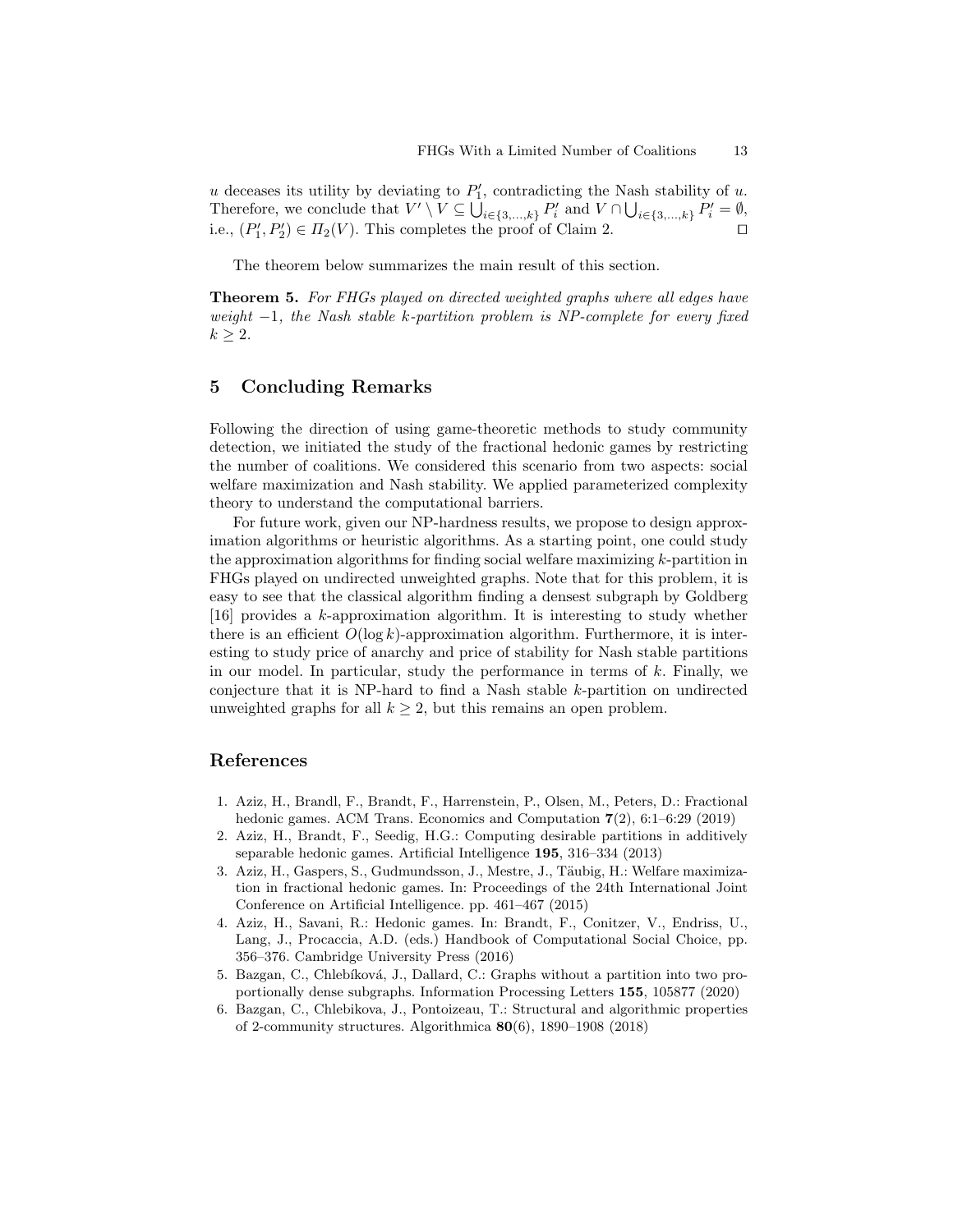$u$  deceases its utility by deviating to  $P'_1$ , contradicting the Nash stability of  $u$ . Therefore, we conclude that  $V' \setminus V \subseteq \bigcup_{i \in \{3,\ldots,k\}} P'_i$  and  $V \cap \bigcup_{i \in \{3,\ldots,k\}} P'_i = \emptyset$ , i.e.,  $(P'_1, P'_2) \in \Pi_2(V)$ . This completes the proof of Claim 2.

The theorem below summarizes the main result of this section.

Theorem 5. For FHGs played on directed weighted graphs where all edges have weight  $-1$ , the Nash stable k-partition problem is NP-complete for every fixed  $k \geq 2$ .

# 5 Concluding Remarks

Following the direction of using game-theoretic methods to study community detection, we initiated the study of the fractional hedonic games by restricting the number of coalitions. We considered this scenario from two aspects: social welfare maximization and Nash stability. We applied parameterized complexity theory to understand the computational barriers.

For future work, given our NP-hardness results, we propose to design approximation algorithms or heuristic algorithms. As a starting point, one could study the approximation algorithms for finding social welfare maximizing k-partition in FHGs played on undirected unweighted graphs. Note that for this problem, it is easy to see that the classical algorithm finding a densest subgraph by Goldberg [16] provides a k-approximation algorithm. It is interesting to study whether there is an efficient  $O(\log k)$ -approximation algorithm. Furthermore, it is interesting to study price of anarchy and price of stability for Nash stable partitions in our model. In particular, study the performance in terms of  $k$ . Finally, we conjecture that it is NP-hard to find a Nash stable k-partition on undirected unweighted graphs for all  $k \geq 2$ , but this remains an open problem.

# References

- 1. Aziz, H., Brandl, F., Brandt, F., Harrenstein, P., Olsen, M., Peters, D.: Fractional hedonic games. ACM Trans. Economics and Computation 7(2), 6:1–6:29 (2019)
- 2. Aziz, H., Brandt, F., Seedig, H.G.: Computing desirable partitions in additively separable hedonic games. Artificial Intelligence 195, 316–334 (2013)
- 3. Aziz, H., Gaspers, S., Gudmundsson, J., Mestre, J., Täubig, H.: Welfare maximization in fractional hedonic games. In: Proceedings of the 24th International Joint Conference on Artificial Intelligence. pp. 461–467 (2015)
- 4. Aziz, H., Savani, R.: Hedonic games. In: Brandt, F., Conitzer, V., Endriss, U., Lang, J., Procaccia, A.D. (eds.) Handbook of Computational Social Choice, pp. 356–376. Cambridge University Press (2016)
- 5. Bazgan, C., Chlebíková, J., Dallard, C.: Graphs without a partition into two proportionally dense subgraphs. Information Processing Letters 155, 105877 (2020)
- 6. Bazgan, C., Chlebikova, J., Pontoizeau, T.: Structural and algorithmic properties of 2-community structures. Algorithmica 80(6), 1890–1908 (2018)